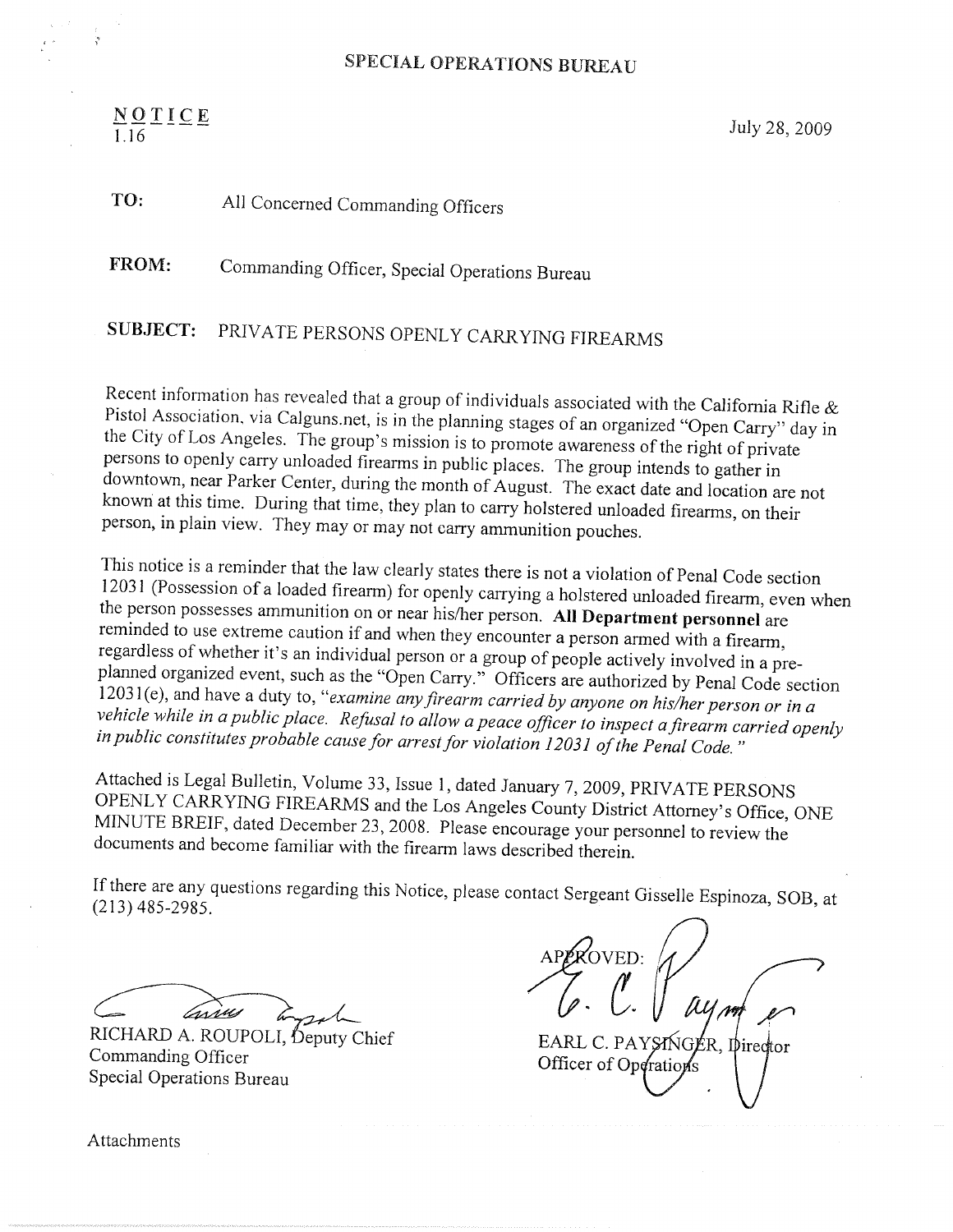# SPECIAL OPERATIONS BUREAU

#### $NQTICE$  $\frac{116}{1.16}$   $\frac{1}{28}$ , 2009

TO: All Concerned Commanding Officers

FROM: Commanding Officer, Special Operations Bureau

# <sup>S</sup>UBJECT: PRIVATE PERSONS OPENLY CARRYING FIREARMS

P istol Recent information has revealed that a group of individuals associated with the California Rifle & the City of Los Angeles. The group's mission is to promote awareness of the right of private<br>persons to openly carry unloaded firearms in public places. The group intends to gather in<br>downtown, near Parker Center, during t <sup>p</sup>erson, in plain view. They may or may not carry ammunition pouches.

This notice is a reminder that the law clearly states there is not a violation of Penal Code section 12031 (Possession of a loaded firearm) for openly carrying a holstered unloaded firearm, even when the person possesses a <sup>r</sup>eminded to use extreme caution if and when they encounter a person armed with a firearm, regardless of whether it's an individual person or a group of people actively involved in a pre-<br>planned organized event, such as the "Open Carry." Officers are authorized by Penal Code section 12031(e), and have a duty to, "examine any firearm carried by anyone on his/her person or in a vehicle while in a public place. Refusal to allow a peace officer to inspect a firearm carried openly<br>in public constitutes probable cause for arrest for violation 12031 of the Penal Code."

Attached is Legal Bulletin, Volume 33, Issue 1, dated January 7, 2009, PRIVATE PERSONS<br>OPENLY CARRYING FIREARMS and the Los Angeles County District Attorney's Office, ONE<br>MINUTE BREIF, dated December 23, 2008. Please encou

<sup>I</sup>f there are any questions regarding this Notice, please contact Sergeant Gisselle Espinoza, SOB, at (213) 485-2985.

Lains

RICHARD A. ROUPOLI, Deputy Chief Commanding Officer Special Operations Bureau

AP*PK*OVED: ~~~~EARL C. PAYSINGER, Director Officer of Operations

Attachments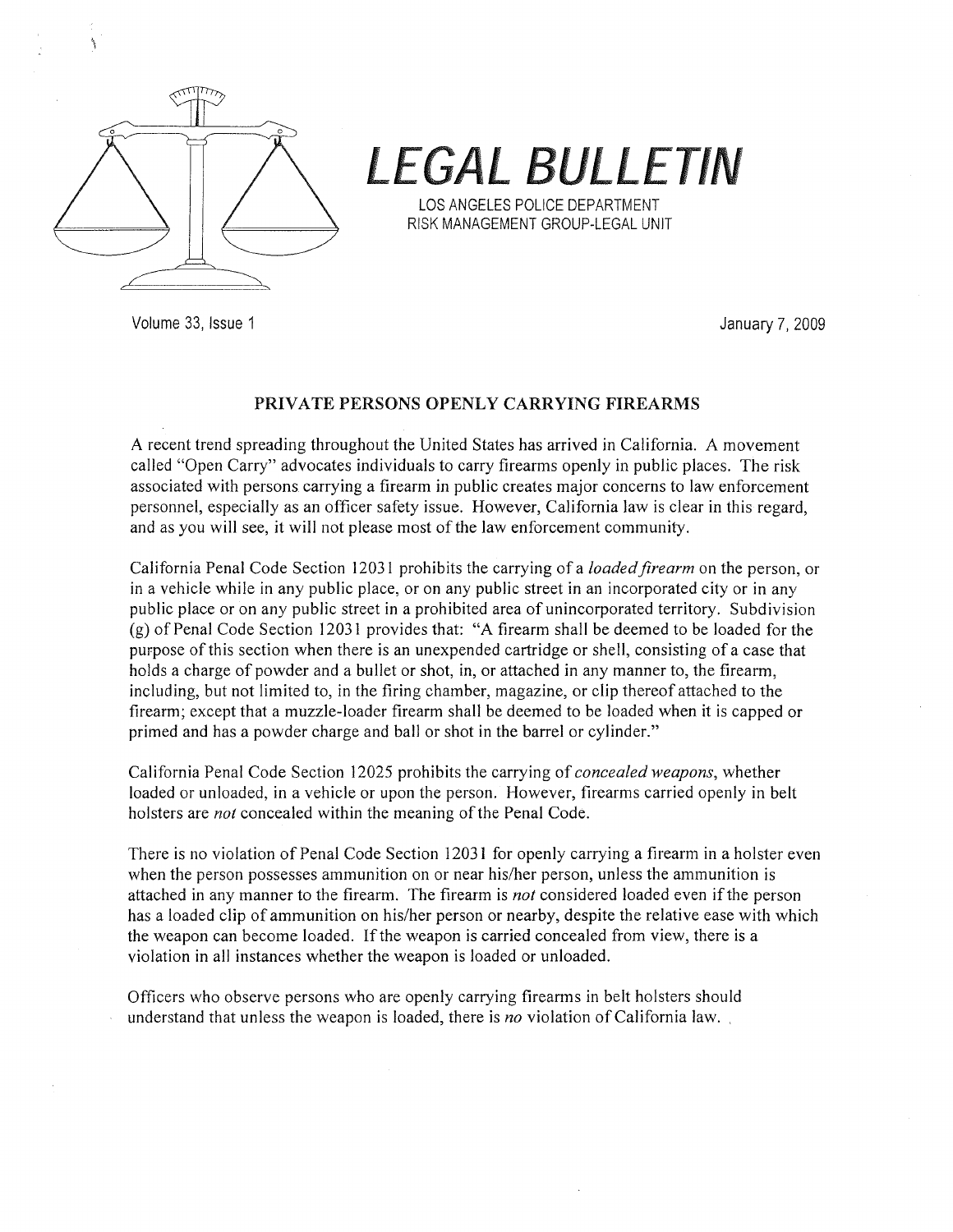



Volume 33, Issue 1 January 7, 2009

#### PRIVATE PERSONS OPENLY CARRYING FIREARMS

A recent trend spreading throughout the United States has arrived in California. A movement called "Open Carry" advocates individuals to carry firearms openly in public places. The risk associated with persons. carrying a firearm in public creates major concerns to law enforcement personnel, especially as an officer safety issue. However, California law is clear in this regard, and as you will see, it will not please most of the law enforcement community.

California Fenal Code Section 12031 prohibits the carrying of a loaded firearm on the person, or in a vehicle while in any public place, or on any public street in an incorporated city or in any public place or on any public street in a prohibited area of unincorporated territory. Subdivision (g) of Penal Code Section 12031 provides that: "A firearm shall be deemed to be loaded for the purpose of this section when there is an unexpended cartridge or shell, consisting of a case that holds a charge of powder and a bullet or shot, in, or attached in any manner to, the firearm, including, but not limited to, in the firing chamber, magazine, or clip thereof attached to the firearm; except that amuzzle-loader firearm shall be deemed to be loaded when it is capped or primed and has a powder charge and ball or shot in the barrel or cylinder."

California Penal Code Section 12025 prohibits the carrying of concealed weapons, whether loaded or unloaded, in a vehicle or upon the person. However, firearms carried openly in belt holsters are not concealed within the meaning of the Penal Code.

There is no violation of Penal Code Section 12031 for openly carrying a firearm in a holster even when the person possesses ammunition on or near his/her person, unless the ammunition is attached in any manner to the firearm. The firearm is not considered loaded even if the person has a loaded clip of ammunition on his/her person or nearby, despite the relative ease with which the weapon can become loaded. If the weapon is carried concealed from view, there is a violation in all instances whether the weapon is loaded or unloaded.

Officers who observe persons who are openly carrying firearms in belt holsters should understand that unless the weapon is loaded, there is no violation of California law.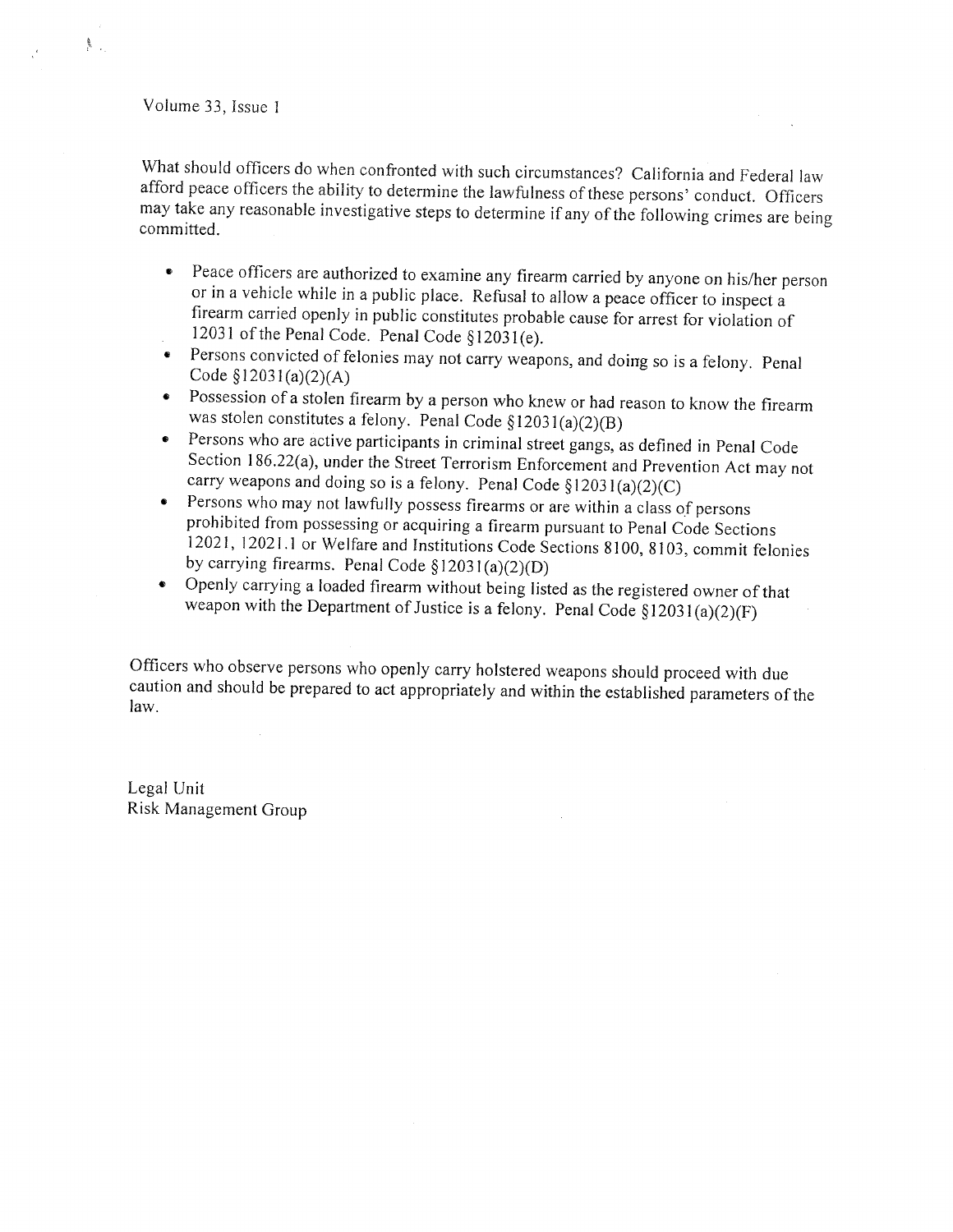#### Volume 33, Issue I

意<br>こ

<sup>W</sup>hat should officers do when confronted with such circumstances? California and Federal law <sup>a</sup>fford peace officers the ability to determine the lawfulness of these persons' conduct. Officers may take any reasonable investigative steps to determine if any of the following crimes are being <sup>c</sup>ommitted.

- Peace officers are authorized to examine any firearm carried by anyone on his/her person <sup>o</sup>r in a vehicle while in a public place. Refusal to allow <sup>a</sup>peace officer to inspect <sup>a</sup> <sup>f</sup>irearm carried openly in public constitutes probable cause for arrest for violation of <sup>1</sup>2031 of the Penal Code. Penal Code § 12031(e).
- Persons convicted of felonies may not carry weapons, and doing so is a felony. Penal <sup>C</sup>ode §12031(a)(2)(A)
- Possession of a stolen firearm by a person who knew or had reason to know the firearm <sup>w</sup>as stolen constitutes a felony. Penal Code § 12031(a)(2)(B}
- Persons who are active participants in criminal street gangs, as defined in Penal Code <sup>S</sup>ection 186.22(a), under the Street Terrorism Enforcement and Prevention Act may not carry weapons and doing so is a felony. Penal Code  $\S 12031(a)(2)(C)$
- • Persons who may not lawfully possess firearms or are within a class of persons <sup>p</sup>rohibited from possessing or acquiring a firearm pursuant to Penal Code Sections <sup>1</sup> 2021, 12021.1 or Welfare and institutions Code Sections 8100, 8103, commit felonies <sup>b</sup>y carrying firearms. Penal Code § 12031(a)(2)(D)
- <sup>O</sup>penly carrying a loaded firearm without being listed as the registered owner of that weapon with the Department of Justice is a felony. Penal Code §12031(a)(2)(F)

<sup>O</sup>fficers who observe persons who openly carry holstered weapons should proceed with due <sup>c</sup>aution and should be prepared to act appropriately and within the established parameters of the law.

Legal Unit Risk Management Group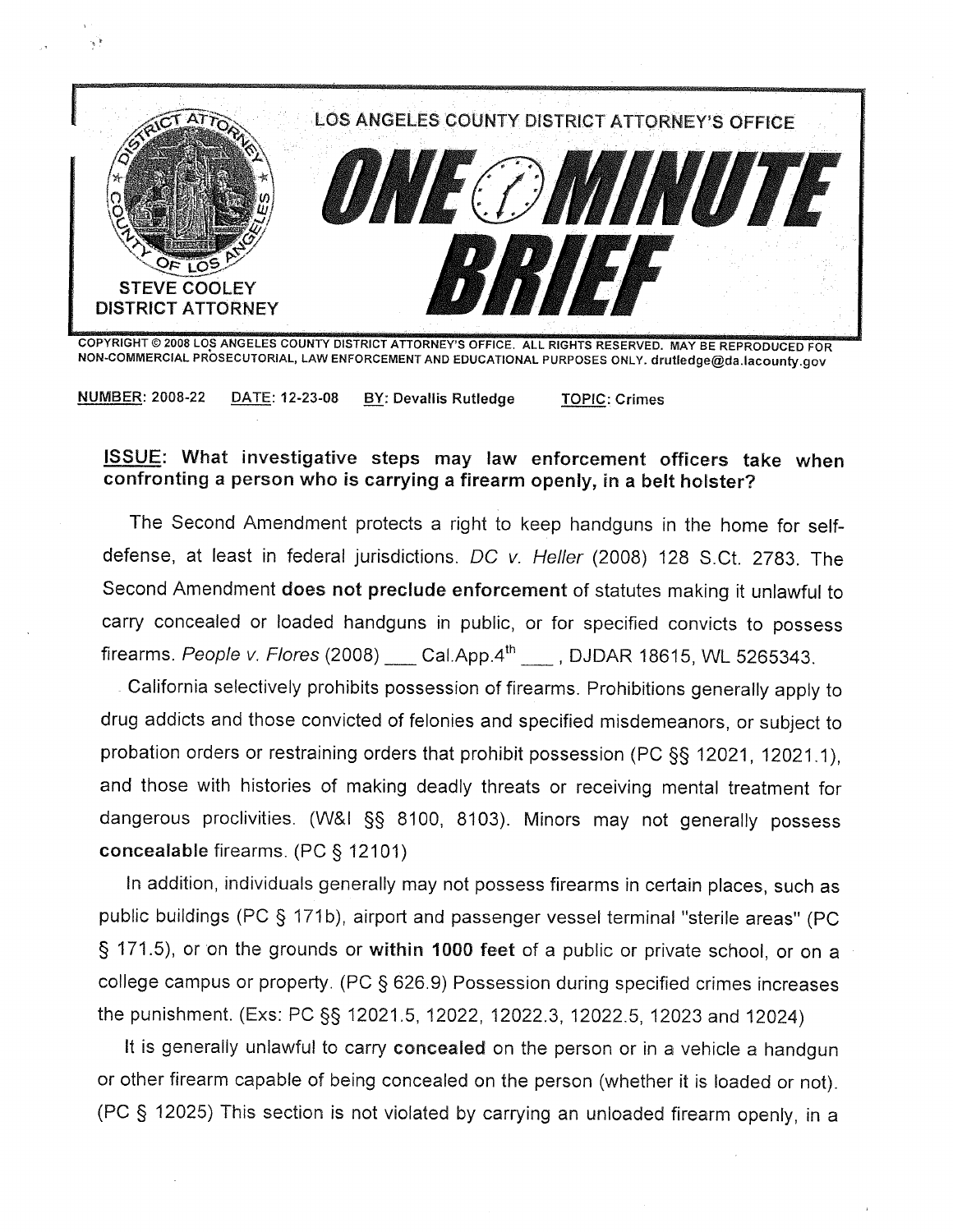

COPYRIGHT © 2008 LOS ANGELES COUNTY DISTRICT ATTORNEY'S OFFICE. ALL RIGHTS RESERVED. MAY BE REPRODUCED FOR NON-COMMERCIAL PROSECUTORIAL, LAW ENFORCEMENT AND EDUCATIONAL PURPOSES ONLY. drutledge@da.lacounty.gov

**NUMBER: 2008-22** DATE: 12-23-08 **BY: Devallis Rutledge TOPIC: Crimes** 

### ISSUE: What investigative steps may law enforcement officers take when confronting a person who is carrying a firearm openly, in a belt holster?

The Second Amendment protects a right to keep handguns in the home for selfdefense, at least in federal jurisdictions. DC v. Heller (2008) 128 S.Ct. 2783. The Second Amendment does not preclude enforcement of statutes making it unlawful to carry concealed or loaded handguns in public, or for specified convicts to possess firearms. People v. Flores (2008) Cal.App. $4^{\text{th}}$ , DJDAR 18615, WL 5265343.

California selectively prohibits possession of firearms. Prohibitions generally apply to drug addicts and those convicted of felonies and specified misdemeanors, or subject to probation orders or restraining orders that prohibit possession (PC §§ 12021, 12021, 1). and those with histories of making deadly threats or receiving mental treatment for dangerous proclivities. (W&I §§ 8100, 8103). Minors may not generally possess concealable firearms. (PC § 12101)

In addition, individuals generally may not possess firearms in certain places, such as public buildings (PC § 171b), airport and passenger vessel terminal "sterile areas" (PC § 171.5), or on the grounds or within 1000 feet of a public or private school, or on a college campus or property. (PC § 626.9) Possession during specified crimes increases the punishment. (Exs: PC §§ 12021.5, 12022, 12022.3, 12022.5, 12023 and 12024)

It is generally unlawful to carry concealed on the person or in a vehicle a handgun or other firearm capable of being concealed on the person (whether it is loaded or not). (PC § 12025) This section is not violated by carrying an unloaded firearm openly, in a